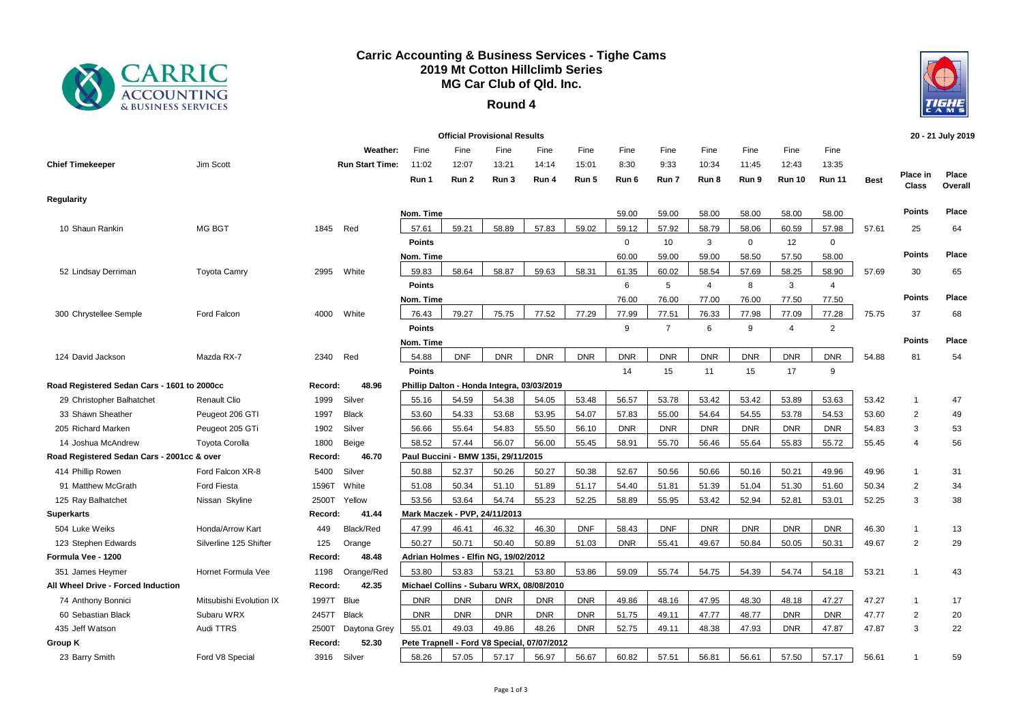

## **Carric Accounting & Business Services - Tighe Cams 2019 Mt Cotton Hillclimb Series MG Car Club of Qld. Inc.**

## **Round 4**



|                                             |                         |         |                                    |                               |                        | <b>Official Provisional Results</b>        |                                             |                        |                       |                       |                        |                        |                                |                                |             |                   | 20 - 21 July 2019 |
|---------------------------------------------|-------------------------|---------|------------------------------------|-------------------------------|------------------------|--------------------------------------------|---------------------------------------------|------------------------|-----------------------|-----------------------|------------------------|------------------------|--------------------------------|--------------------------------|-------------|-------------------|-------------------|
| <b>Chief Timekeeper</b>                     | Jim Scott               |         | Weather:<br><b>Run Start Time:</b> | Fine<br>11:02<br>Run 1        | Fine<br>12:07<br>Run 2 | Fine<br>13:21<br>Run 3                     | Fine<br>14:14<br>Run 4                      | Fine<br>15:01<br>Run 5 | Fine<br>8:30<br>Run 6 | Fine<br>9:33<br>Run 7 | Fine<br>10:34<br>Run 8 | Fine<br>11:45<br>Run 9 | Fine<br>12:43<br><b>Run 10</b> | Fine<br>13:35<br><b>Run 11</b> | <b>Best</b> | Place in<br>Class | Place<br>Overall  |
| <b>Regularity</b>                           |                         |         |                                    |                               |                        |                                            |                                             |                        |                       |                       |                        |                        |                                |                                |             |                   |                   |
|                                             |                         |         |                                    | Nom. Time                     |                        |                                            |                                             |                        | 59.00                 | 59.00                 | 58.00                  | 58.00                  | 58.00                          | 58.00                          |             | <b>Points</b>     | Place             |
| 10 Shaun Rankin                             | MG BGT                  | 1845    | Red                                | 57.61                         | 59.21                  | 58.89                                      | 57.83                                       | 59.02                  | 59.12                 | 57.92                 | 58.79                  | 58.06                  | 60.59                          | 57.98                          | 57.61       | 25                | 64                |
|                                             |                         |         |                                    | <b>Points</b>                 |                        |                                            |                                             |                        | $\mathbf 0$           | 10                    | 3                      | $\mathbf 0$            | 12                             | $\mathbf 0$                    |             |                   |                   |
|                                             |                         |         |                                    | Nom. Time                     |                        |                                            |                                             |                        | 60.00                 | 59.00                 | 59.00                  | 58.50                  | 57.50                          | 58.00                          |             | <b>Points</b>     | Place             |
| 52 Lindsay Derriman                         | <b>Toyota Camry</b>     | 2995    | White                              | 59.83                         | 58.64                  | 58.87                                      | 59.63                                       | 58.31                  | 61.35                 | 60.02                 | 58.54                  | 57.69                  | 58.25                          | 58.90                          | 57.69       | 30                | 65                |
|                                             |                         |         |                                    | <b>Points</b>                 |                        |                                            |                                             |                        | 6                     | 5                     | $\overline{4}$         | 8                      | 3                              | $\overline{4}$                 |             |                   |                   |
|                                             |                         |         |                                    | Nom. Time                     |                        |                                            |                                             |                        | 76.00                 | 76.00                 | 77.00                  | 76.00                  | 77.50                          | 77.50                          |             | <b>Points</b>     | Place             |
| 300 Chrystellee Semple                      | Ford Falcon             | 4000    | White                              | 76.43                         | 79.27                  | 75.75                                      | 77.52                                       | 77.29                  | 77.99                 | 77.51                 | 76.33                  | 77.98                  | 77.09                          | 77.28                          | 75.75       | 37                | 68                |
|                                             |                         |         |                                    | <b>Points</b>                 |                        |                                            |                                             |                        | 9                     | $\overline{7}$        | 6                      | 9                      | $\overline{4}$                 | 2                              |             |                   |                   |
|                                             |                         |         |                                    | Nom. Time                     |                        |                                            |                                             |                        |                       |                       |                        |                        |                                |                                |             | <b>Points</b>     | Place             |
| 124 David Jackson                           | Mazda RX-7              | 2340    | Red                                | 54.88                         | <b>DNF</b>             | <b>DNR</b>                                 | <b>DNR</b>                                  | <b>DNR</b>             | <b>DNR</b>            | <b>DNR</b>            | <b>DNR</b>             | <b>DNR</b>             | <b>DNR</b>                     | <b>DNR</b>                     | 54.88       | 81                | 54                |
|                                             |                         |         |                                    | <b>Points</b>                 |                        |                                            |                                             |                        | 14                    | 15                    | 11                     | 15                     | 17                             | 9                              |             |                   |                   |
| Road Registered Sedan Cars - 1601 to 2000cc |                         | Record: | 48.96                              |                               |                        | Phillip Dalton - Honda Integra, 03/03/2019 |                                             |                        |                       |                       |                        |                        |                                |                                |             |                   |                   |
| 29 Christopher Balhatchet                   | <b>Renault Clio</b>     | 1999    | Silver                             | 55.16                         | 54.59                  | 54.38                                      | 54.05                                       | 53.48                  | 56.57                 | 53.78                 | 53.42                  | 53.42                  | 53.89                          | 53.63                          | 53.42       | $\mathbf{1}$      | 47                |
| 33 Shawn Sheather                           | Peugeot 206 GTI         | 1997    | <b>Black</b>                       | 53.60                         | 54.33                  | 53.68                                      | 53.95                                       | 54.07                  | 57.83                 | 55.00                 | 54.64                  | 54.55                  | 53.78                          | 54.53                          | 53.60       | $\overline{2}$    | 49                |
| 205 Richard Marken                          | Peugeot 205 GTi         | 1902    | Silver                             | 56.66                         | 55.64                  | 54.83                                      | 55.50                                       | 56.10                  | <b>DNR</b>            | <b>DNR</b>            | <b>DNR</b>             | <b>DNR</b>             | <b>DNR</b>                     | <b>DNR</b>                     | 54.83       | 3                 | 53                |
| 14 Joshua McAndrew                          | <b>Toyota Corolla</b>   | 1800    | Beige                              | 58.52                         | 57.44                  | 56.07                                      | 56.00                                       | 55.45                  | 58.91                 | 55.70                 | 56.46                  | 55.64                  | 55.83                          | 55.72                          | 55.45       | $\overline{4}$    | 56                |
| Road Registered Sedan Cars - 2001cc & over  |                         | Record: | 46.70                              |                               |                        | Paul Buccini - BMW 135i, 29/11/2015        |                                             |                        |                       |                       |                        |                        |                                |                                |             |                   |                   |
| 414 Phillip Rowen                           | Ford Falcon XR-8        | 5400    | Silver                             | 50.88                         | 52.37                  | 50.26                                      | 50.27                                       | 50.38                  | 52.67                 | 50.56                 | 50.66                  | 50.16                  | 50.21                          | 49.96                          | 49.96       | $\mathbf{1}$      | 31                |
| 91 Matthew McGrath                          | <b>Ford Fiesta</b>      | 1596T   | White                              | 51.08                         | 50.34                  | 51.10                                      | 51.89                                       | 51.17                  | 54.40                 | 51.81                 | 51.39                  | 51.04                  | 51.30                          | 51.60                          | 50.34       | $\overline{2}$    | 34                |
| 125 Ray Balhatchet                          | Nissan Skyline          | 2500T   | Yellow                             | 53.56                         | 53.64                  | 54.74                                      | 55.23                                       | 52.25                  | 58.89                 | 55.95                 | 53.42                  | 52.94                  | 52.81                          | 53.01                          | 52.25       | 3                 | 38                |
| <b>Superkarts</b>                           |                         | Record: | 41.44                              | Mark Maczek - PVP, 24/11/2013 |                        |                                            |                                             |                        |                       |                       |                        |                        |                                |                                |             |                   |                   |
| 504 Luke Weiks                              | Honda/Arrow Kart        | 449     | Black/Red                          | 47.99                         | 46.41                  | 46.32                                      | 46.30                                       | <b>DNF</b>             | 58.43                 | <b>DNF</b>            | <b>DNR</b>             | <b>DNR</b>             | <b>DNR</b>                     | <b>DNR</b>                     | 46.30       | $\mathbf{1}$      | 13                |
| 123 Stephen Edwards                         | Silverline 125 Shifter  | 125     | Orange                             | 50.27                         | 50.71                  | 50.40                                      | 50.89                                       | 51.03                  | <b>DNR</b>            | 55.41                 | 49.67                  | 50.84                  | 50.05                          | 50.31                          | 49.67       | $\overline{2}$    | 29                |
| Formula Vee - 1200                          |                         | Record: | 48.48                              |                               |                        | Adrian Holmes - Elfin NG, 19/02/2012       |                                             |                        |                       |                       |                        |                        |                                |                                |             |                   |                   |
| 351 James Heymer                            | Hornet Formula Vee      | 1198    | Orange/Red                         | 53.80                         | 53.83                  | 53.21                                      | 53.80                                       | 53.86                  | 59.09                 | 55.74                 | 54.75                  | 54.39                  | 54.74                          | 54.18                          | 53.21       | $\overline{1}$    | 43                |
| All Wheel Drive - Forced Induction          |                         | Record: | 42.35                              |                               |                        |                                            | Michael Collins - Subaru WRX, 08/08/2010    |                        |                       |                       |                        |                        |                                |                                |             |                   |                   |
| 74 Anthony Bonnici                          | Mitsubishi Evolution IX | 1997T   | Blue                               | <b>DNR</b>                    | <b>DNR</b>             | <b>DNR</b>                                 | <b>DNR</b>                                  | <b>DNR</b>             | 49.86                 | 48.16                 | 47.95                  | 48.30                  | 48.18                          | 47.27                          | 47.27       | $\mathbf{1}$      | 17                |
| 60 Sebastian Black                          | Subaru WRX              | 2457T   | <b>Black</b>                       | <b>DNR</b>                    | <b>DNR</b>             | <b>DNR</b>                                 | <b>DNR</b>                                  | <b>DNR</b>             | 51.75                 | 49.11                 | 47.77                  | 48.77                  | <b>DNR</b>                     | <b>DNR</b>                     | 47.77       | $\overline{2}$    | 20                |
| 435 Jeff Watson                             | Audi TTRS               | 2500T   | Daytona Grey                       | 55.01                         | 49.03                  | 49.86                                      | 48.26                                       | <b>DNR</b>             | 52.75                 | 49.11                 | 48.38                  | 47.93                  | <b>DNR</b>                     | 47.87                          | 47.87       | 3                 | 22                |
| Group K                                     |                         | Record: | 52.30                              |                               |                        |                                            | Pete Trapnell - Ford V8 Special, 07/07/2012 |                        |                       |                       |                        |                        |                                |                                |             |                   |                   |
| 23 Barry Smith                              | Ford V8 Special         | 3916    | Silver                             | 58.26                         | 57.05                  | 57.17                                      | 56.97                                       | 56.67                  | 60.82                 | 57.51                 | 56.81                  | 56.61                  | 57.50                          | 57.17                          | 56.61       | $\overline{1}$    | 59                |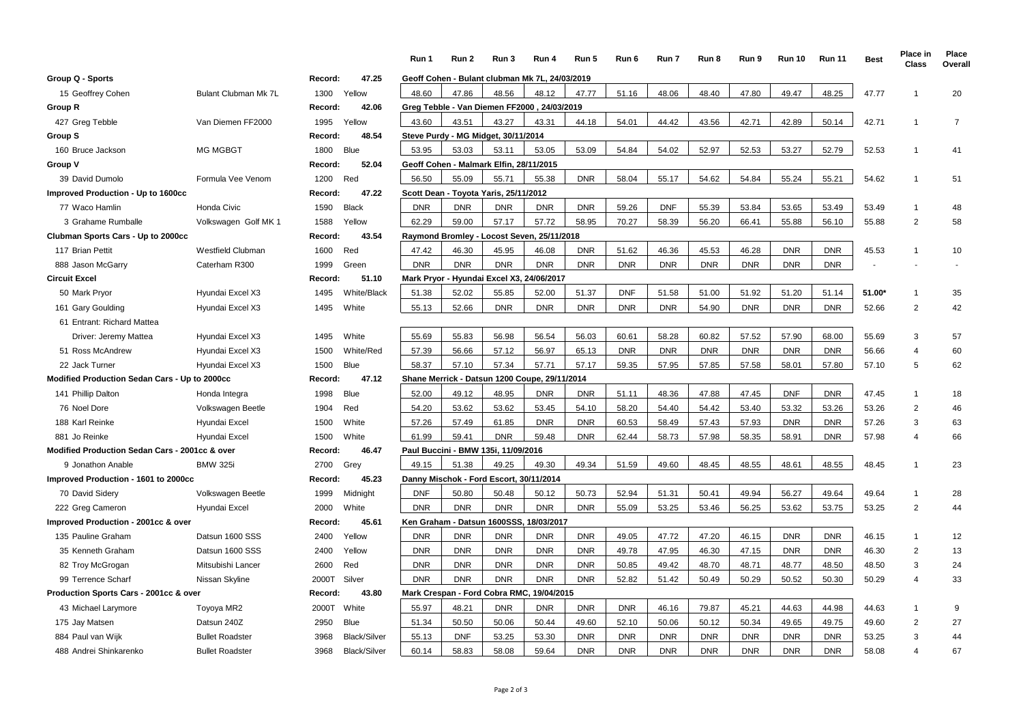|                                                |                        |         |                     | Run 1                                   | Run 2                                   | Run 3      | Run 4                                          | Run 5      | Run 6      | Run 7      | Run 8      | Run 9      | <b>Run 10</b> | <b>Run 11</b> | <b>Best</b> | Place in<br>Class       | Place<br>Overall |
|------------------------------------------------|------------------------|---------|---------------------|-----------------------------------------|-----------------------------------------|------------|------------------------------------------------|------------|------------|------------|------------|------------|---------------|---------------|-------------|-------------------------|------------------|
| Group Q - Sports                               |                        | Record: | 47.25               |                                         |                                         |            | Geoff Cohen - Bulant clubman Mk 7L, 24/03/2019 |            |            |            |            |            |               |               |             |                         |                  |
| 15 Geoffrey Cohen                              | Bulant Clubman Mk 7L   | 1300    | Yellow              | 48.60                                   | 47.86                                   | 48.56      | 48.12                                          | 47.77      | 51.16      | 48.06      | 48.40      | 47.80      | 49.47         | 48.25         | 47.77       | $\overline{1}$          | 20               |
| Group R                                        |                        | Record: | 42.06               |                                         |                                         |            | Greg Tebble - Van Diemen FF2000, 24/03/2019    |            |            |            |            |            |               |               |             |                         |                  |
| 427 Greg Tebble                                | Van Diemen FF2000      | 1995    | Yellow              | 43.60                                   | 43.51                                   | 43.27      | 43.31                                          | 44.18      | 54.01      | 44.42      | 43.56      | 42.71      | 42.89         | 50.14         | 42.71       | $\mathbf{1}$            | $\overline{7}$   |
| Group S                                        |                        | Record: | 48.54               |                                         | Steve Purdy - MG Midget, 30/11/2014     |            |                                                |            |            |            |            |            |               |               |             |                         |                  |
| 160 Bruce Jackson                              | <b>MG MGBGT</b>        | 1800    | Blue                | 53.95                                   | 53.03                                   | 53.11      | 53.05                                          | 53.09      | 54.84      | 54.02      | 52.97      | 52.53      | 53.27         | 52.79         | 52.53       | $\mathbf{1}$            | 41               |
| Group V                                        |                        | Record: | 52.04               |                                         | Geoff Cohen - Malmark Elfin, 28/11/2015 |            |                                                |            |            |            |            |            |               |               |             |                         |                  |
| 39 David Dumolo                                | Formula Vee Venom      | 1200    | Red                 | 56.50                                   | 55.09                                   | 55.71      | 55.38                                          | <b>DNR</b> | 58.04      | 55.17      | 54.62      | 54.84      | 55.24         | 55.21         | 54.62       | $\mathbf{1}$            | 51               |
| Improved Production - Up to 1600cc             |                        | Record: | 47.22               | Scott Dean - Toyota Yaris, 25/11/2012   |                                         |            |                                                |            |            |            |            |            |               |               |             |                         |                  |
| 77 Waco Hamlin                                 | Honda Civic            | 1590    | <b>Black</b>        | <b>DNR</b>                              | <b>DNR</b>                              | <b>DNR</b> | <b>DNR</b>                                     | <b>DNR</b> | 59.26      | <b>DNF</b> | 55.39      | 53.84      | 53.65         | 53.49         | 53.49       | $\mathbf{1}$            | 48               |
| 3 Grahame Rumballe                             | Volkswagen Golf MK 1   | 1588    | Yellow              | 62.29                                   | 59.00                                   | 57.17      | 57.72                                          | 58.95      | 70.27      | 58.39      | 56.20      | 66.41      | 55.88         | 56.10         | 55.88       | $\overline{2}$          | 58               |
| Clubman Sports Cars - Up to 2000cc             |                        | Record: | 43.54               |                                         |                                         |            | Raymond Bromley - Locost Seven, 25/11/2018     |            |            |            |            |            |               |               |             |                         |                  |
| 117 Brian Pettit                               | Westfield Clubman      | 1600    | Red                 | 47.42                                   | 46.30                                   | 45.95      | 46.08                                          | <b>DNR</b> | 51.62      | 46.36      | 45.53      | 46.28      | <b>DNR</b>    | <b>DNR</b>    | 45.53       | $\mathbf{1}$            | 10               |
| 888 Jason McGarry                              | Caterham R300          | 1999    | Green               | <b>DNR</b>                              | <b>DNR</b>                              | <b>DNR</b> | <b>DNR</b>                                     | <b>DNR</b> | <b>DNR</b> | <b>DNR</b> | <b>DNR</b> | <b>DNR</b> | <b>DNR</b>    | <b>DNR</b>    |             |                         |                  |
| Circuit Excel                                  |                        | Record: | 51.10               | <b>Mark Pryor</b>                       |                                         |            | - Hyundai Excel X3, 24/06/2017                 |            |            |            |            |            |               |               |             |                         |                  |
| 50 Mark Pryor                                  | Hyundai Excel X3       | 1495    | White/Black         | 51.38                                   | 52.02                                   | 55.85      | 52.00                                          | 51.37      | <b>DNF</b> | 51.58      | 51.00      | 51.92      | 51.20         | 51.14         | 51.00*      | 1                       | 35               |
| 161 Gary Goulding                              | Hyundai Excel X3       | 1495    | White               | 55.13                                   | 52.66                                   | <b>DNR</b> | <b>DNR</b>                                     | <b>DNR</b> | <b>DNR</b> | <b>DNR</b> | 54.90      | <b>DNR</b> | <b>DNR</b>    | <b>DNR</b>    | 52.66       | $\overline{2}$          | 42               |
| 61 Entrant: Richard Mattea                     |                        |         |                     |                                         |                                         |            |                                                |            |            |            |            |            |               |               |             |                         |                  |
| Driver: Jeremy Mattea                          | Hyundai Excel X3       | 1495    | White               | 55.69                                   | 55.83                                   | 56.98      | 56.54                                          | 56.03      | 60.61      | 58.28      | 60.82      | 57.52      | 57.90         | 68.00         | 55.69       | 3                       | 57               |
| 51 Ross McAndrew                               | Hyundai Excel X3       | 1500    | White/Red           | 57.39                                   | 56.66                                   | 57.12      | 56.97                                          | 65.13      | <b>DNR</b> | <b>DNR</b> | <b>DNR</b> | <b>DNR</b> | <b>DNR</b>    | <b>DNR</b>    | 56.66       | $\overline{\mathbf{4}}$ | 60               |
| 22 Jack Turner                                 | Hyundai Excel X3       | 1500    | <b>Blue</b>         | 58.37                                   | 57.10                                   | 57.34      | 57.71                                          | 57.17      | 59.35      | 57.95      | 57.85      | 57.58      | 58.01         | 57.80         | 57.10       | 5                       | 62               |
| Modified Production Sedan Cars - Up to 2000cc  |                        | Record: | 47.12               |                                         |                                         |            | Shane Merrick - Datsun 1200 Coupe, 29/11/2014  |            |            |            |            |            |               |               |             |                         |                  |
| 141 Phillip Dalton                             | Honda Integra          | 1998    | <b>Blue</b>         | 52.00                                   | 49.12                                   | 48.95      | <b>DNR</b>                                     | <b>DNR</b> | 51.11      | 48.36      | 47.88      | 47.45      | <b>DNF</b>    | <b>DNR</b>    | 47.45       | $\mathbf{1}$            | 18               |
| 76 Noel Dore                                   | Volkswagen Beetle      | 1904    | Red                 | 54.20                                   | 53.62                                   | 53.62      | 53.45                                          | 54.10      | 58.20      | 54.40      | 54.42      | 53.40      | 53.32         | 53.26         | 53.26       | $\overline{2}$          | 46               |
| 188 Karl Reinke                                | Hyundai Excel          | 1500    | White               | 57.26                                   | 57.49                                   | 61.85      | <b>DNR</b>                                     | <b>DNR</b> | 60.53      | 58.49      | 57.43      | 57.93      | <b>DNR</b>    | <b>DNR</b>    | 57.26       | 3                       | 63               |
| 881 Jo Reinke                                  | Hyundai Excel          | 1500    | White               | 61.99                                   | 59.41                                   | <b>DNR</b> | 59.48                                          | <b>DNR</b> | 62.44      | 58.73      | 57.98      | 58.35      | 58.91         | <b>DNR</b>    | 57.98       | 4                       | 66               |
| Modified Production Sedan Cars - 2001cc & over |                        | Record: | 46.47               |                                         | Paul Buccini - BMW 135i, 11/09/2016     |            |                                                |            |            |            |            |            |               |               |             |                         |                  |
| 9 Jonathon Anable                              | <b>BMW 325i</b>        | 2700    | Grey                | 49.15                                   | 51.38                                   | 49.25      | 49.30                                          | 49.34      | 51.59      | 49.60      | 48.45      | 48.55      | 48.61         | 48.55         | 48.45       | $\overline{1}$          | 23               |
| Improved Production - 1601 to 2000cc           |                        | Record: | 45.23               | Danny Mischok - Ford Escort, 30/11/2014 |                                         |            |                                                |            |            |            |            |            |               |               |             |                         |                  |
| 70 David Sidery                                | Volkswagen Beetle      | 1999    | Midnight            | <b>DNF</b>                              | 50.80                                   | 50.48      | 50.12                                          | 50.73      | 52.94      | 51.31      | 50.41      | 49.94      | 56.27         | 49.64         | 49.64       | $\mathbf{1}$            | 28               |
| 222 Greg Cameron                               | Hyundai Excel          | 2000    | White               | <b>DNR</b>                              | <b>DNR</b>                              | <b>DNR</b> | <b>DNR</b>                                     | <b>DNR</b> | 55.09      | 53.25      | 53.46      | 56.25      | 53.62         | 53.75         | 53.25       | $\overline{2}$          | 44               |
| mproved Production - 2001cc & over             |                        | Record: | 45.61               |                                         | Ken Graham - Datsun                     |            | 1600SSS, 18/03/2017                            |            |            |            |            |            |               |               |             |                         |                  |
| 135 Pauline Graham                             | Datsun 1600 SSS        | 2400    | Yellow              | <b>DNR</b>                              | <b>DNR</b>                              | <b>DNR</b> | <b>DNR</b>                                     | <b>DNR</b> | 49.05      | 47.72      | 47.20      | 46.15      | <b>DNR</b>    | <b>DNR</b>    | 46.15       | $\mathbf{1}$            | 12               |
| 35 Kenneth Graham                              | Datsun 1600 SSS        | 2400    | Yellow              | <b>DNR</b>                              | <b>DNR</b>                              | <b>DNR</b> | <b>DNR</b>                                     | <b>DNR</b> | 49.78      | 47.95      | 46.30      | 47.15      | <b>DNR</b>    | <b>DNR</b>    | 46.30       | $\overline{2}$          | 13               |
| 82 Troy McGrogan                               | Mitsubishi Lancer      | 2600    | Red                 | <b>DNR</b>                              | <b>DNR</b>                              | <b>DNR</b> | <b>DNR</b>                                     | <b>DNR</b> | 50.85      | 49.42      | 48.70      | 48.71      | 48.77         | 48.50         | 48.50       | 3                       | 24               |
| 99 Terrence Scharf                             | Nissan Skyline         | 2000T   | Silver              | <b>DNR</b>                              | <b>DNR</b>                              | <b>DNR</b> | <b>DNR</b>                                     | <b>DNR</b> | 52.82      | 51.42      | 50.49      | 50.29      | 50.52         | 50.30         | 50.29       | 4                       | 33               |
| Production Sports Cars - 2001cc & over         |                        | Record: | 43.80               |                                         |                                         |            | Mark Crespan - Ford Cobra RMC, 19/04/2015      |            |            |            |            |            |               |               |             |                         |                  |
| 43 Michael Larymore                            | Toyoya MR2             | 2000T   | White               | 55.97                                   | 48.21                                   | <b>DNR</b> | <b>DNR</b>                                     | <b>DNR</b> | <b>DNR</b> | 46.16      | 79.87      | 45.21      | 44.63         | 44.98         | 44.63       | 1                       | 9                |
| 175 Jay Matsen                                 | Datsun 240Z            | 2950    | <b>Blue</b>         | 51.34                                   | 50.50                                   | 50.06      | 50.44                                          | 49.60      | 52.10      | 50.06      | 50.12      | 50.34      | 49.65         | 49.75         | 49.60       | $\overline{2}$          | 27               |
| 884 Paul van Wijk                              | <b>Bullet Roadster</b> | 3968    | <b>Black/Silver</b> | 55.13                                   | <b>DNF</b>                              | 53.25      | 53.30                                          | <b>DNR</b> | <b>DNR</b> | <b>DNR</b> | <b>DNR</b> | <b>DNR</b> | <b>DNR</b>    | <b>DNR</b>    | 53.25       | 3                       | 44               |
| 488 Andrei Shinkarenko                         | <b>Bullet Roadster</b> | 3968    | <b>Black/Silver</b> | 60.14                                   | 58.83                                   | 58.08      | 59.64                                          | <b>DNR</b> | <b>DNR</b> | <b>DNR</b> | <b>DNR</b> | <b>DNR</b> | <b>DNR</b>    | <b>DNR</b>    | 58.08       |                         | 67               |